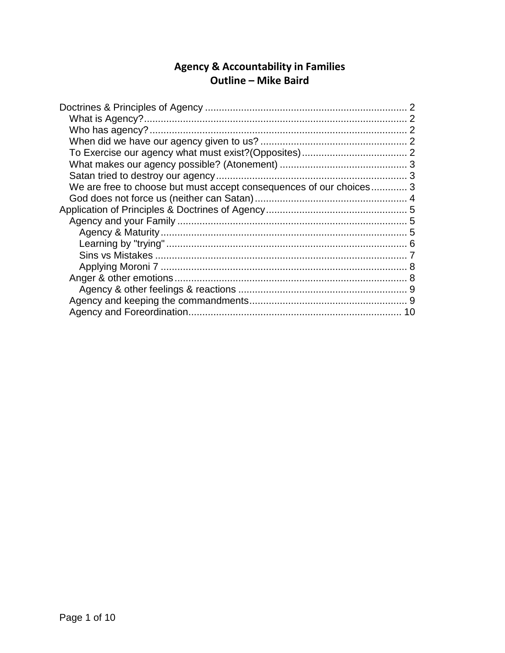# Agency & Accountability in Families<br>Outline - Mike Baird

| We are free to choose but must accept consequences of our choices 3 |  |
|---------------------------------------------------------------------|--|
|                                                                     |  |
|                                                                     |  |
|                                                                     |  |
|                                                                     |  |
|                                                                     |  |
|                                                                     |  |
|                                                                     |  |
|                                                                     |  |
|                                                                     |  |
|                                                                     |  |
|                                                                     |  |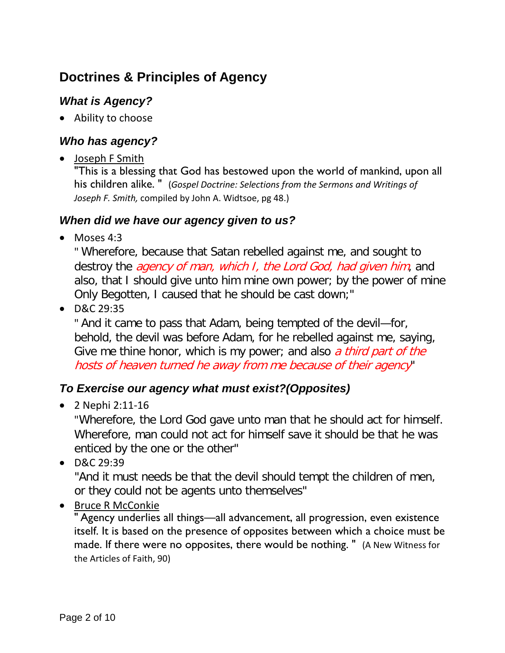# <span id="page-1-0"></span>**Doctrines & Principles of Agency**

### <span id="page-1-1"></span>*What is Agency?*

• Ability to choose

#### <span id="page-1-2"></span>*Who has agency?*

• Joseph F Smith

"This is a blessing that God has bestowed upon the world of mankind, upon all his children alike. " (*Gospel Doctrine: Selections from the Sermons and Writings of Joseph F. Smith,* compiled by John A. Widtsoe, pg 48.)

#### <span id="page-1-3"></span>*When did we have our agency given to us?*

• Moses 4:3

" Wherefore, because that Satan rebelled against me, and sought to destroy the *agency of man, which I, the Lord God, had given him*, and also, that I should give unto him mine own power; by the power of mine Only Begotten, I caused that he should be cast down;"

• D&C 29:35

" And it came to pass that Adam, being tempted of the devil—for, behold, the devil was before Adam, for he rebelled against me, saying, Give me thine honor, which is my power; and also *a third part of the* hosts of heaven turned he away from me because of their agency"

#### <span id="page-1-4"></span>*To Exercise our agency what must exist?(Opposites)*

• 2 Nephi 2:11-16

"Wherefore, the Lord God gave unto man that he should act for himself. Wherefore, man could not act for himself save it should be that he was enticed by the one or the other"

• D&C 29:39

"And it must needs be that the devil should tempt the children of men, or they could not be agents unto themselves"

• Bruce R McConkie

" Agency underlies all things—all advancement, all progression, even existence itself. It is based on the presence of opposites between which a choice must be made. If there were no opposites, there would be nothing. " (A New Witness for the Articles of Faith, 90)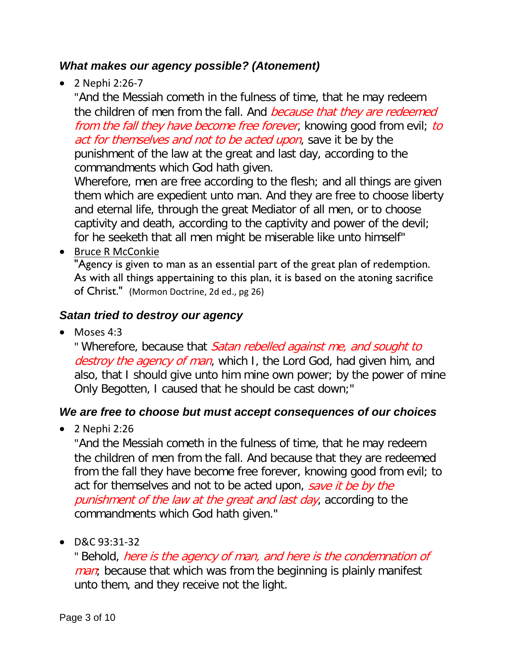#### <span id="page-2-0"></span>*What makes our agency possible? (Atonement)*

• 2 Nephi 2:26-7

"And the Messiah cometh in the fulness of time, that he may redeem the children of men from the fall. And *because that they are redeemed* from the fall they have become free forever, knowing good from evil; to act for themselves and not to be acted upon, save it be by the punishment of the law at the great and last day, according to the commandments which God hath given.

Wherefore, men are free according to the flesh; and all things are given them which are expedient unto man. And they are free to choose liberty and eternal life, through the great Mediator of all men, or to choose captivity and death, according to the captivity and power of the devil; for he seeketh that all men might be miserable like unto himself"

• Bruce R McConkie

"Agency is given to man as an essential part of the great plan of redemption. As with all things appertaining to this plan, it is based on the atoning sacrifice of Christ." (Mormon Doctrine, 2d ed., pg 26)

#### <span id="page-2-1"></span>*Satan tried to destroy our agency*

 $\bullet$  Moses 4:3

" Wherefore, because that Satan rebelled against me, and sought to destroy the agency of man, which I, the Lord God, had given him, and also, that I should give unto him mine own power; by the power of mine Only Begotten, I caused that he should be cast down;"

#### <span id="page-2-2"></span>*We are free to choose but must accept consequences of our choices*

• 2 Nephi 2:26

"And the Messiah cometh in the fulness of time, that he may redeem the children of men from the fall. And because that they are redeemed from the fall they have become free forever, knowing good from evil; to act for themselves and not to be acted upon, save it be by the punishment of the law at the great and last day, according to the commandments which God hath given."

• D&C 93:31-32

" Behold, here is the agency of man, and here is the condemnation of *man*; because that which was from the beginning is plainly manifest unto them, and they receive not the light.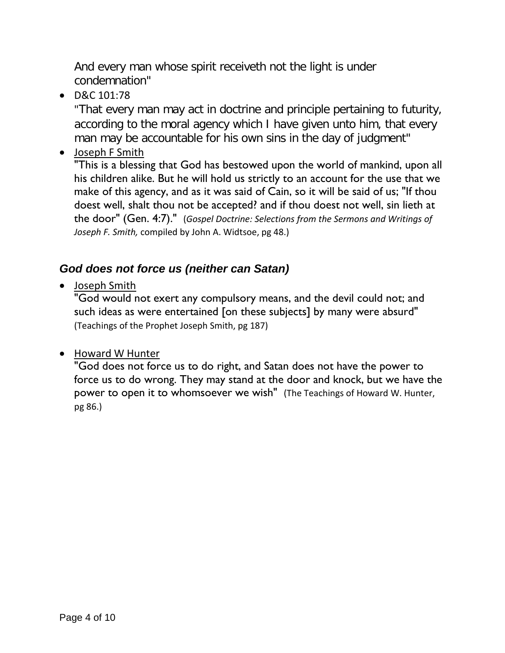And every man whose spirit receiveth not the light is under condemnation"

• D&C 101:78

"That every man may act in doctrine and principle pertaining to futurity, according to the moral agency which I have given unto him, that every man may be accountable for his own sins in the day of judgment"

• Joseph F Smith

"This is a blessing that God has bestowed upon the world of mankind, upon all his children alike. But he will hold us strictly to an account for the use that we make of this agency, and as it was said of Cain, so it will be said of us; "If thou doest well, shalt thou not be accepted? and if thou doest not well, sin lieth at the door" (Gen. 4:7)." (*Gospel Doctrine: Selections from the Sermons and Writings of Joseph F. Smith,* compiled by John A. Widtsoe, pg 48.)

## <span id="page-3-0"></span>*God does not force us (neither can Satan)*

• Joseph Smith

"God would not exert any compulsory means, and the devil could not; and such ideas as were entertained [on these subjects] by many were absurd" (Teachings of the Prophet Joseph Smith, pg 187)

• Howard W Hunter

"God does not force us to do right, and Satan does not have the power to force us to do wrong. They may stand at the door and knock, but we have the power to open it to whomsoever we wish" (The Teachings of Howard W. Hunter, pg 86.)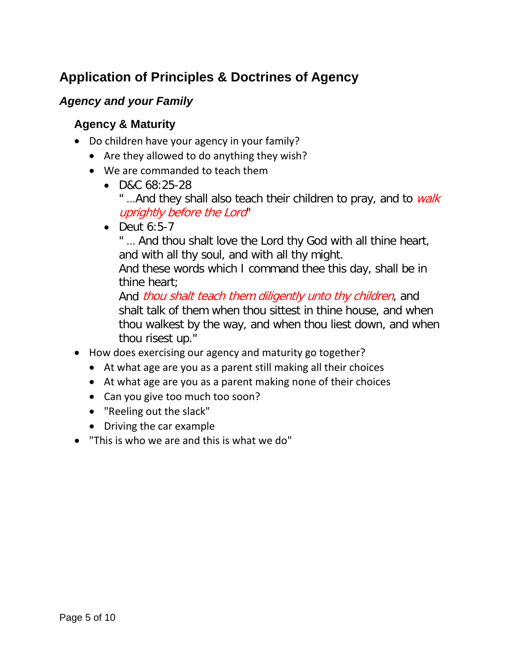# <span id="page-4-0"></span>**Application of Principles & Doctrines of Agency**

#### <span id="page-4-2"></span><span id="page-4-1"></span>*Agency and your Family*

#### **Agency & Maturity**

- Do children have your agency in your family?
	- Are they allowed to do anything they wish?
	- We are commanded to teach them
		- D&C 68:25-28 "...And they shall also teach their children to pray, and to walk uprightly before the Lord"
		- $\bullet$  Deut 6:5-7

" ... And thou shalt love the Lord thy God with all thine heart, and with all thy soul, and with all thy might.

And these words which I command thee this day, shall be in thine heart;

And *thou shalt teach them diligently unto thy children*, and shalt talk of them when thou sittest in thine house, and when thou walkest by the way, and when thou liest down, and when thou risest up."

- How does exercising our agency and maturity go together?
	- At what age are you as a parent still making all their choices
	- At what age are you as a parent making none of their choices
	- Can you give too much too soon?
	- "Reeling out the slack"
	- Driving the car example
- "This is who we are and this is what we do"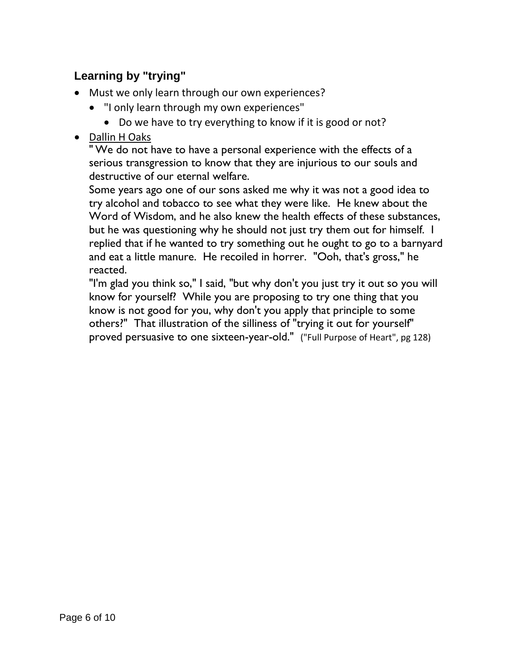# <span id="page-5-0"></span>**Learning by "trying"**

- Must we only learn through our own experiences?
	- "I only learn through my own experiences"
		- Do we have to try everything to know if it is good or not?
- Dallin H Oaks

" We do not have to have a personal experience with the effects of a serious transgression to know that they are injurious to our souls and destructive of our eternal welfare.

Some years ago one of our sons asked me why it was not a good idea to try alcohol and tobacco to see what they were like. He knew about the Word of Wisdom, and he also knew the health effects of these substances, but he was questioning why he should not just try them out for himself. I replied that if he wanted to try something out he ought to go to a barnyard and eat a little manure. He recoiled in horrer. "Ooh, that's gross," he reacted.

"I'm glad you think so," I said, "but why don't you just try it out so you will know for yourself? While you are proposing to try one thing that you know is not good for you, why don't you apply that principle to some others?" That illustration of the silliness of "trying it out for yourself" proved persuasive to one sixteen-year-old." ("Full Purpose of Heart", pg 128)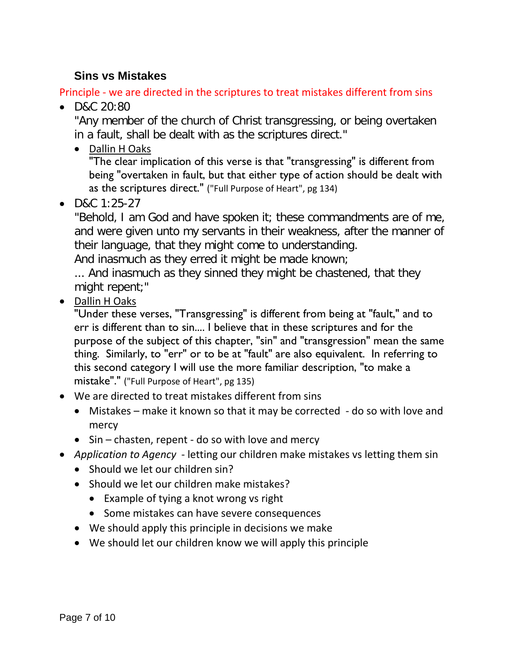#### <span id="page-6-0"></span>**Sins vs Mistakes**

Principle - we are directed in the scriptures to treat mistakes different from sins

• D&C 20:80

"Any member of the church of Christ transgressing, or being overtaken in a fault, shall be dealt with as the scriptures direct."

• Dallin H Oaks

"The clear implication of this verse is that "transgressing" is different from being "overtaken in fault, but that either type of action should be dealt with as the scriptures direct." ("Full Purpose of Heart", pg 134)

• D&C 1:25-27

"Behold, I am God and have spoken it; these commandments are of me, and were given unto my servants in their weakness, after the manner of their language, that they might come to understanding.

And inasmuch as they erred it might be made known;

... And inasmuch as they sinned they might be chastened, that they might repent;"

• Dallin H Oaks

"Under these verses, "Transgressing" is different from being at "fault," and to err is different than to sin.... I believe that in these scriptures and for the purpose of the subject of this chapter, "sin" and "transgression" mean the same thing. Similarly, to "err" or to be at "fault" are also equivalent. In referring to this second category I will use the more familiar description, "to make a mistake"." ("Full Purpose of Heart", pg 135)

- We are directed to treat mistakes different from sins
	- Mistakes make it known so that it may be corrected do so with love and mercy
	- Sin chasten, repent do so with love and mercy
- *Application to Agency* letting our children make mistakes vs letting them sin
	- Should we let our children sin?
	- Should we let our children make mistakes?
		- Example of tying a knot wrong vs right
		- Some mistakes can have severe consequences
	- We should apply this principle in decisions we make
	- We should let our children know we will apply this principle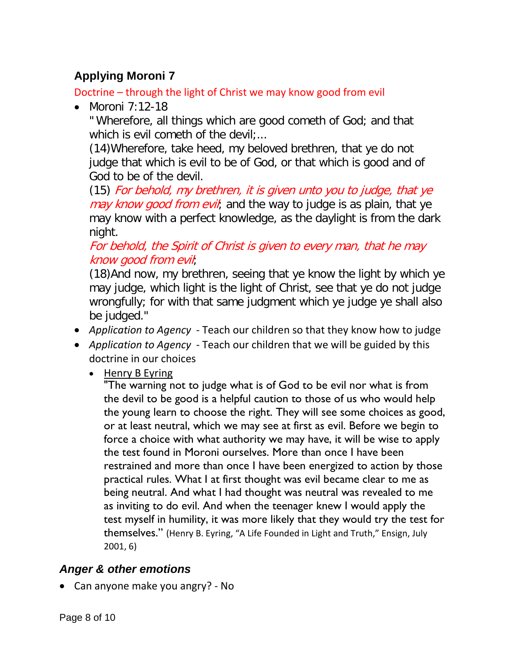# <span id="page-7-0"></span>**Applying Moroni 7**

Doctrine – through the light of Christ we may know good from evil

• Moroni 7:12-18

" Wherefore, all things which are good cometh of God; and that which is evil cometh of the devil;...

(14)Wherefore, take heed, my beloved brethren, that ye do not judge that which is evil to be of God, or that which is good and of God to be of the devil.

(15) For behold, my brethren, it is given unto you to judge, that ye may know good from evil, and the way to judge is as plain, that ye may know with a perfect knowledge, as the daylight is from the dark night.

#### For behold, the Spirit of Christ is given to every man, that he may know good from evil;

(18)And now, my brethren, seeing that ye know the light by which ye may judge, which light is the light of Christ, see that ye do not judge wrongfully; for with that same judgment which ye judge ye shall also be judged."

- *Application to Agency* Teach our children so that they know how to judge
- *Application to Agency* Teach our children that we will be guided by this doctrine in our choices
	- Henry B Eyring

"The warning not to judge what is of God to be evil nor what is from the devil to be good is a helpful caution to those of us who would help the young learn to choose the right. They will see some choices as good, or at least neutral, which we may see at first as evil. Before we begin to force a choice with what authority we may have, it will be wise to apply the test found in Moroni ourselves. More than once I have been restrained and more than once I have been energized to action by those practical rules. What I at first thought was evil became clear to me as being neutral. And what I had thought was neutral was revealed to me as inviting to do evil. And when the teenager knew I would apply the test myself in humility, it was more likely that they would try the test for themselves." (Henry B. Eyring, "A Life Founded in Light and Truth," Ensign, July 2001, 6)

## <span id="page-7-1"></span>*Anger & other emotions*

• Can anyone make you angry? - No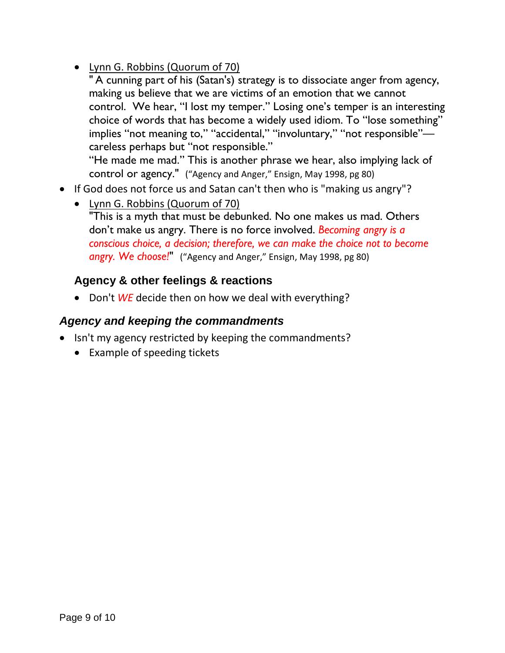- Lynn G. Robbins (Quorum of 70)
	- " A cunning part of his (Satan's) strategy is to dissociate anger from agency, making us believe that we are victims of an emotion that we cannot control. We hear, "I lost my temper." Losing one's temper is an interesting choice of words that has become a widely used idiom. To "lose something" implies "not meaning to," "accidental," "involuntary," "not responsible" careless perhaps but "not responsible." "He made me mad." This is another phrase we hear, also implying lack of

control or agency." ("Agency and Anger," Ensign, May 1998, pg 80)

- If God does not force us and Satan can't then who is "making us angry"?
	- Lynn G. Robbins (Quorum of 70) "This is a myth that must be debunked. No one makes us mad. Others don't make us angry. There is no force involved. *Becoming angry is a conscious choice, a decision; therefore, we can make the choice not to become angry. We choose!*" ("Agency and Anger," Ensign, May 1998, pg 80)

#### <span id="page-8-0"></span>**Agency & other feelings & reactions**

• Don't *WE* decide then on how we deal with everything?

#### <span id="page-8-1"></span>*Agency and keeping the commandments*

- Isn't my agency restricted by keeping the commandments?
	- Example of speeding tickets